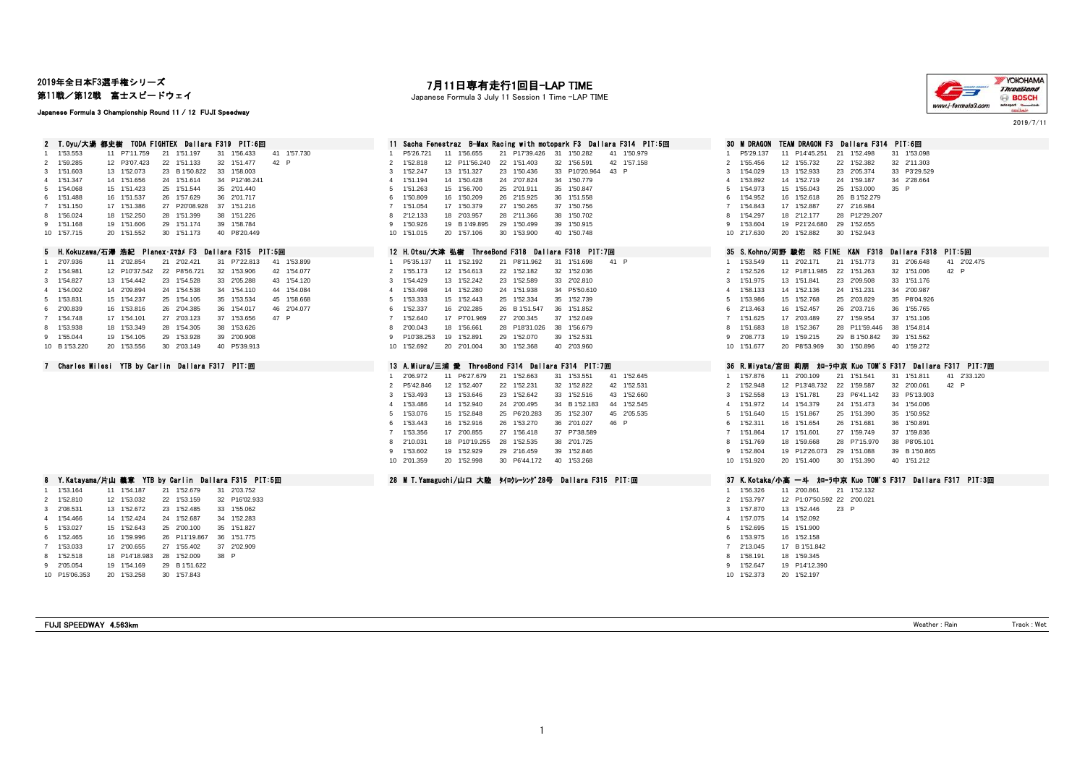## 2019年全日本F3選手権シリーズ

第11戦/第12戦 富士スピードウェイ

#### Japanese Formula 3 Championship Round 11 / 12 FUJI Speedway

## 11 P7'11.759 21 1'51.197 31 1'56.433 41 1'57.730 2 1'59.285 12 P3'07.423 22 1'51.133 32 1'51.477 42 P<br>3 1'51.603 13 1'52.073 23 B1'50.822 33 1'58.003 3 1'51.603 13 1'52.073 23 B 1'50.822 33 1'58.003<br>4 1'51.347 14 1'51.656 24 1'51.614 34 P12'46.24 4 1'51.347 14 1'51.656 24 1'51.614 34 P12'46.241<br>5 1'54.068 15 1'51.423 25 1'51.544 35 2'01.440 5 1'54.068 15 1'51.423 25 1'51.544 35 2'01.440 5 1'51.263 15 1'56.700 25 2'01.911 35 1'50.847 5 1'54.973 15 1'55.043 25 1'53.000 35 P 6 1'51.488 16 1'51.537 26 1'57.629 36 2'01.717<br>7 1'51.488 16 1'51.537 26 1'57.629 36 2'01.717 7 1'51.150 17 1'51.386 27 P20'08.928 37 1'51.216 7 1'51.054 17 1'50.379 27 1'50.265 37 1'50.756 7 1'54.843 17 1'52.887 27 2'16.984 8 1'56.024 18 1'52.250 28 1'51.399 38 1'51.226 8 2'12.133 18 2'03.957 28 2'11.366 38 1'50.702 8 1'54.297 18 2'12.177 28 P12'29.207 9 1'51.168 19 1'51.606 29 1'51.174 39 1'58.784<br>10 1'57.715 20 1'51.552 30 1'51.173 40 P8'20.44 20 1'51.552 30 1'51.173 40 P8'20.449 1 2'07.936 11 2'02.854 21 2'02.421 31 P7'22.813 41 1'53.899<br>2 1'54.981 12 P10'37.542 22 P8'56.721 32 1'53.906 42 1'54.077 2 1'54.981 12 P10'37.542 22 P8'56.721 32 1'53.906 42 1'54.077 2 1'55.173 12 1'54.613 22 1'52.182 32 1'52.036 2 1'52.526 12 P18'11.985 22 1'51.263 32 1'51.006 42 P 3 1'54.827 13 1'54.442 23 1'54.528 33 2'05.288 43 1'54.120<br>4 1'54.002 14 2'09.894 24 1'54.538 34 1'54.110 44 1'54.084 14 2'09.894 24 1'54.538 34 1'54.110 44 1'54.084 5 1'53.831 15 1'54.237 25 1'54.105 35 1'53.534 45 1'58.668 5 1'53.333 15 1'52.443 25 1'52.334 35 1'52.739 5 1'53.986 15 1'52.768 25 2'03.829 35 P8'04.926 6 2'00.839 16 1'53.816 26 2'04.385 36 1'54.017 46 2'04.077<br>7 1'54.748 17 1'54.101 27 2'03.123 37 1'53.656 47 P 7 1'54.748 17 1'54.101 27 2'03.123 37 1'53.656 47 P<br>8 1'53.938 18 1'53.349 28 1'54.305 38 1'53.626 18 1'53.349 28 1'54.305 38 1'53.626 9 1'55.044 19 1'54.105 29 1'53.928 39 2'00.908 10 B 1'53.220 20 1'53.556 30 2'03.149 40 P5'39.913

4 1'54.466 14 1'52.424 24 1'52.687 34 1'52.283<br>5 1'53.027 15 1'52.643 25 2'00.100 35 1'51.827 5 1'53.027 15 1'52.643 25 2'00.100 35 1'51.827 5 1'52.695 15 1'51.900

7 1'53.033 17 2'00.655 27 1'55.402 37 2'02.909 8 1'52.518 18 P14'18.983 28 1'52.009 38 P 9 2'05.054 19 1'54.169 29 B 1'51.622 10 P15'06.353 20 1'53.258 30 1'57.843

6 1'52.465 16 1'59.996 26 P11'19.867 36 1'51.775 6 1'53.975 16 1'52.158

# 7月11日専有走行1回目-LAP TIME

Japanese Formula 3 July 11 Session 1 Time -LAP TIME



2019/7/11

| 2 T.Oyu/大湯 都史樹 TODA FIGHTEX Dallara F319 PIT:6回                                                                                                                                                                                                                                                                                                                                                                                                                                                                                                                                                                                                                                                                    | Sacha Fenestraz B-Max Racing with motopark F3 Dallara F314 PIT:5回                                                                                                                                                                                                                                                                                                                                                                                                                                                                                                                                                                                                                                                             | TEAM DRAGON F3 Dallara F314 PIT:6回<br><b>30 M DRAGON</b>                                                                                                                                                                                                                                                                                                                                                                                                                                                                                                                                                                                                                                    |
|--------------------------------------------------------------------------------------------------------------------------------------------------------------------------------------------------------------------------------------------------------------------------------------------------------------------------------------------------------------------------------------------------------------------------------------------------------------------------------------------------------------------------------------------------------------------------------------------------------------------------------------------------------------------------------------------------------------------|-------------------------------------------------------------------------------------------------------------------------------------------------------------------------------------------------------------------------------------------------------------------------------------------------------------------------------------------------------------------------------------------------------------------------------------------------------------------------------------------------------------------------------------------------------------------------------------------------------------------------------------------------------------------------------------------------------------------------------|---------------------------------------------------------------------------------------------------------------------------------------------------------------------------------------------------------------------------------------------------------------------------------------------------------------------------------------------------------------------------------------------------------------------------------------------------------------------------------------------------------------------------------------------------------------------------------------------------------------------------------------------------------------------------------------------|
| 1'53.553<br>1'56.433<br>41 1'57.730<br>11 P7'11.759<br>1'51.197<br>31<br>21<br>2 1'59.285<br>22 1'51.133<br>42 P<br>12 P3'07.423<br>32 1'51.477<br>33 1'58.003<br>3 1'51.603<br>13 1'52.073<br>23 B 1'50.822<br>4 1'51.347<br>34 P12'46.241<br>14 1'51.656<br>24 1'51.614<br>5 1'54.068<br>15 1'51.423<br>25 1'51.544<br>35 2'01.440<br>16 1'51.537<br>26 1'57.629<br>36 2'01.717<br>6 1'51.488<br>7 1'51.150<br>17 1'51.386<br>27 P20'08.928<br>37 1'51.216<br>8 1'56.024<br>18 1'52.250<br>28 1'51.399<br>38 1'51.226<br>29 1'51.174<br>39 1'58.784<br>9 1'51.168<br>19 1'51.606<br>10 1'57.715<br>20 1'51.552<br>30 1'51.173<br>40 P8'20.449                                                                    | 1'50.979<br>P5'26.721<br>1'56.655<br>21 P17'39.426<br>31<br>1'50.282<br>41<br>11<br>12 P11'56.240<br>22 1'51.403<br>32 1'56.591<br>42 1'57.158<br>1'52.818<br>$\overline{2}$<br>23 1'50.436<br>33 P10'20.964<br>43 P<br>1'52.247<br>13 1'51.327<br>3<br>14 1'50.428<br>24 2'07.824<br>34 1'50.779<br>1'51.194<br>4<br>15 1'56.700<br>25 2'01.911<br>35 1'50.847<br>1'51.263<br>5<br>16 1'50.209<br>26 2'15.925<br>36 1'51.558<br>1'50.809<br>6<br>17 1'50.379<br>27 1'50.265<br>37 1'50.756<br>1'51.054<br>2'12.133<br>18 2'03.957<br>28 2'11.366<br>38 1'50.702<br>8<br>1'50.926<br>19 B 1'49.895<br>29 1'50.499<br>39 1'50.915<br>9<br>20 1'57.106<br>30 1'53.900<br>40 1'50.748<br>10 1'51.015                             | P5'29.137<br>11 P14'45.251<br>21<br>1'52.498<br>31 1'53.098<br>2 1'55.456<br>12 1'55.732<br>22 1'52.382<br>32 2'11.303<br>13 1'52.933<br>33 P3'29.529<br>1'54.029<br>23 2'05.374<br>3<br>1'53.892<br>14 1'52.719<br>34 2'28.664<br>24 1'59.187<br>1'54.973<br>15 1'55.043<br>25 1'53.000<br>35 P<br>5<br>1'54.952<br>16 1'52.618<br>26 B 1'52.279<br>6<br>17 1'52.887<br>27 2'16.984<br>1'54.843<br>1'54.297<br>18 2'12.177<br>28 P12'29.207<br>8<br>1'53.604<br>19 P21'24.680<br>29 1'52.655<br>9<br>10 2'17.630<br>20 1'52.882<br>30 1'52.943                                                                                                                                             |
| 5 H. Kokuzawa/石澤 浩紀 Planex・スマカメ F3 Dallara F315 PIT:5回                                                                                                                                                                                                                                                                                                                                                                                                                                                                                                                                                                                                                                                             | 12 H. Otsu/大津 弘樹 ThreeBond F318 Dallara F318 PIT:7回                                                                                                                                                                                                                                                                                                                                                                                                                                                                                                                                                                                                                                                                           | 35 S.Kohno/河野 駿佑 RS FINE K&N F318<br>Dallara F318 PIT:5回                                                                                                                                                                                                                                                                                                                                                                                                                                                                                                                                                                                                                                    |
| 2'07.936<br>11 2'02.854<br>21 2'02.421<br>31 P7'22.813<br>41 1'53.899<br>2 1'54.981<br>22 P8'56.721<br>32 1'53.906<br>42 1'54.077<br>12 P10'37.542<br>3 1'54.827<br>13 1'54.442<br>23 1'54.528<br>33 2'05.288<br>43 1'54.120<br>4 1'54.002<br>14 2'09.894<br>24 1'54.538<br>34 1'54.110<br>44 1'54.084<br>5 1'53.831<br>15 1'54.237<br>25 1'54.105<br>35 1'53.534<br>45 1'58.668<br>6 2'00.839<br>16 1'53.816<br>26 2'04.385<br>36 1'54.017<br>46 2'04.077<br>7 1'54.748<br>27 2'03.123<br>37 1'53.656<br>47 P<br>17 1'54.101<br>8 1'53.938<br>18 1'53.349<br>28 1'54.305<br>38 1'53.626<br>39 2'00.908<br>9 1'55.044<br>19 1'54.105<br>29 1'53.928<br>10 B 1'53.220<br>20 1'53.556<br>30 2'03.149<br>40 P5'39.913 | P5'35.137<br>11 1'52.192<br>21 P8'11.962<br>31 1'51.698<br>41 P<br>32 1'52.036<br>12 1'54.613<br>22 1'52.182<br>1'55.173<br>2<br>23 1'52.589<br>33 2'02.810<br>1'54.429<br>13 1'52.242<br>3<br>14 1'52.280<br>24 1'51.938<br>34 P5'50.610<br>1'53.498<br>4<br>15 1'52.443<br>25 1'52.334<br>35 1'52.739<br>1'53.333<br>5<br>16 2'02.285<br>26 B 1'51.547<br>36 1'51.852<br>1'52.337<br>6<br>17 P7'01.969<br>27 2'00.345<br>1'52.640<br>37 1'52.049<br>18 1'56.661<br>28 P18'31.026<br>38 1'56.679<br>2'00.043<br>8<br>19 1'52.891<br>29 1'52.070<br>39 1'52.531<br>P10'38.253<br>9<br>10 1'52.692<br>20 2'01.004<br>30 1'52.368<br>40 2'03.960                                                                                | 1'53.549<br>11 2'02.171<br>21 1'51.773<br>31 2'06.648<br>41 2'02.475<br>1'52.526<br>12 P18'11.985<br>32 1'51.006<br>42 P<br>22 1'51.263<br>$\overline{2}$<br>1'51.975<br>13 1'51.841<br>23 2'09.508<br>33 1'51.176<br>3<br>1'58.133<br>14 1'52.136<br>34 2'00.987<br>24 1'51.231<br>4<br>1'53.986<br>15 1'52.768<br>25 2'03.829<br>35 P8'04.926<br>5<br>2'13.463<br>16 1'52.457<br>26 2'03.716<br>36 1'55.765<br>6<br>1'51.625<br>17 2'03.489<br>37 1'51.106<br>27 1'59.954<br>7<br>1'51.683<br>18 1'52.367<br>38 1'54.814<br>28 P11'59.446<br>8<br>2'08.773<br>19 1'59.215<br>39 1'51.562<br>9<br>29 B 1'50.842<br>10 1'51.677<br>20 P8'53.969<br>30 1'50.896<br>40 1'59.272               |
| 7 Charles Milesi YTB by Carlin Dallara F317 PIT:回                                                                                                                                                                                                                                                                                                                                                                                                                                                                                                                                                                                                                                                                  | 13 A.Miura/三浦 愛 ThreeBond F314 Dallara F314 PIT:7回                                                                                                                                                                                                                                                                                                                                                                                                                                                                                                                                                                                                                                                                            | 36 R.Miyata/宮田 莉朋 加一九中京 Kuo TOM'S F317 Dallara F317 PIT:                                                                                                                                                                                                                                                                                                                                                                                                                                                                                                                                                                                                                                    |
|                                                                                                                                                                                                                                                                                                                                                                                                                                                                                                                                                                                                                                                                                                                    | 21 1'52.663<br>31 1'53.551<br>41 1'52.645<br>2'06.972<br>11 P6'27.679<br>12 1'52.407<br>22 1'52.231<br>32 1'52.822<br>42 1'52.531<br>P5'42.846<br>$\overline{2}$<br>13 1'53.646<br>23 1'52.642<br>33 1'52.516<br>43 1'52.660<br>1'53.493<br>3<br>24 2'00.495<br>44 1'52.545<br>1'53.486<br>14 1'52.940<br>34 B 1'52.183<br>1'53.076<br>15 1'52.848<br>25 P6'20.283<br>35 1'52.307<br>45 2'05.535<br>5<br>16 1'52.916<br>26 1'53.270<br>36 2'01.027<br>1'53.443<br>46 P<br>6<br>27 1'56.418<br>37 P7'38.589<br>1'53.356<br>17 2'00.855<br>28 1'52.535<br>2'10.031<br>18 P10'19.255<br>38 2'01.725<br>8<br>19 1'52.929<br>29 2'16.459<br>39 1'52.846<br>9 1'53.602<br>20 1'52.998<br>30 P6'44.172<br>40 1'53.268<br>10 2'01.359 | 1 1'57.876<br>41 2'33.120<br>11 2'00.109<br>21 1'51.541<br>31 1'51.811<br>42 P<br>1'52.948<br>12 P13'48.732<br>22 1'59.587<br>32 2'00.061<br>$\overline{2}$<br>1'52.558<br>13 1'51.781<br>23 P6'41.142<br>33 P5'13.903<br>3<br>1'51.972<br>14 1'54.379<br>24 1'51.473<br>34 1'54.006<br>Δ<br>1'51.640<br>15 1'51.867<br>25 1'51.390<br>35 1'50.952<br>5<br>1'52.311<br>16 1'51.654<br>26 1'51.681<br>36 1'50.891<br>6<br>37 1'59.836<br>1'51.864<br>17 1'51.601<br>27 1'59.749<br>$\overline{7}$<br>1'51.769<br>18 1'59.668<br>28 P7'15.970<br>38 P8'05.101<br>8<br>9 1'52.804<br>19 P12'26.073<br>39 B 1'50.865<br>29 1'51.088<br>10 1'51.920<br>20 1'51.400<br>30 1'51.390<br>40 1'51.212 |
| 8 Y.Katayama/片山 義章 YTB by Carlin Dallara F315 PIT:5回                                                                                                                                                                                                                                                                                                                                                                                                                                                                                                                                                                                                                                                               | 28 M T. Yamaguchi/山口 大陸 タイロクレーシング28号 Dallara F315 PIT:回                                                                                                                                                                                                                                                                                                                                                                                                                                                                                                                                                                                                                                                                       | 37 K.Kotaka/小高 一斗 加-ラ中京 Kuo TOM'S F317 Dallara F317 PIT:                                                                                                                                                                                                                                                                                                                                                                                                                                                                                                                                                                                                                                    |
| 1 1'53.164<br>11 1'54.187<br>21 1'52.679<br>31 2'03.752<br>22 1'53.159<br>32 P16'02.933<br>2 1'52.810<br>12 1'53.032<br>33 1'55.062<br>2'08.531<br>13 1'52.672<br>23 1'52.485<br>3<br>4 1'54.466<br>14 1'52.424<br>24 1'52.687<br>34 1'52.283<br>5 1'53.027<br>15 1'52.643<br>25 2'00.100<br>35 1'51.827                                                                                                                                                                                                                                                                                                                                                                                                           |                                                                                                                                                                                                                                                                                                                                                                                                                                                                                                                                                                                                                                                                                                                               | 1'56.326<br>11 2'00.861<br>21 1'52.132<br>2 1'53.797<br>12 P1:07'50.592 22 2'00.021<br>1'57.870<br>13 1'52.446<br>23 P<br>3<br>1'57.075<br>14 1'52.092<br>5 1'52.695<br>15 1'51.900                                                                                                                                                                                                                                                                                                                                                                                                                                                                                                         |

| 1      | P5'29.137            | 11       | P14'45.251           | 21       | 1'52.498             | 31       | 1'53.098      |        |                     |  |
|--------|----------------------|----------|----------------------|----------|----------------------|----------|---------------|--------|---------------------|--|
| 2      | 1'55.456             | 12       | 1'55.732             | 22       | 1'52.382             | 32       | 2'11.303      |        |                     |  |
| 3      | 1'54.029             | 13       | 1'52.933             | 23       | 2'05.374             | 33       | P3'29.529     |        |                     |  |
| 4<br>5 | 1'53.892<br>1'54.973 | 14<br>15 | 1'52.719<br>1'55.043 | 24<br>25 | 1'59.187<br>1'53.000 | 34<br>35 | 2'28.664<br>P |        |                     |  |
| 6      | 1'54.952             | 16       | 1'52.618             | 26       | B 1'52.279           |          |               |        |                     |  |
| 7      | 1'54.843             | 17       | 1'52.887             | 27       | 2'16.984             |          |               |        |                     |  |
| 8      | 1'54.297             | 18       | 2'12.177             | 28       | P12'29.207           |          |               |        |                     |  |
| 9      | 1'53.604             | 19       | P21'24.680           | 29       | 1'52.655             |          |               |        |                     |  |
| 10     | 2'17.630             | 20       | 1'52.882             | 30       | 1'52.943             |          |               |        |                     |  |
| 35     | S.Kohno/河野 駿佑        |          | RS FINE              |          | F318<br>K&N          |          | Dallara F318  | PIT:5回 |                     |  |
| 1      | 1'53.549             | 11       | 2'02.171             | 21       | 1'51.773             | 31       | 2'06.648      | 41     | 2'02.475            |  |
| 2      | 1'52.526             | 12       | P18'11.985           | 22       | 1'51.263             | 32       | 1'51.006      | 42     | P                   |  |
| 3      | 1'51.975             | 13       | 1'51.841             | 23       | 2'09.508             | 33       | 1'51.176      |        |                     |  |
| 4      | 1'58.133             | 14       | 1'52.136             | 24       | 1'51.231             | 34       | 2'00.987      |        |                     |  |
| 5      | 1'53.986             | 15       | 1'52.768             | 25       | 2'03.829             |          | 35 P8'04.926  |        |                     |  |
| 6      | 2'13.463             | 16       | 1'52.457             | 26       | 2'03.716             | 36       | 1'55.765      |        |                     |  |
| 7      | 1'51.625             | 17       | 2'03.489             | 27       | 1'59.954             | 37       | 1'51.106      |        |                     |  |
| 8      | 1'51.683             | 18       | 1'52.367             | 28       | P11'59.446           | 38       | 1'54.814      |        |                     |  |
| 9      | 2'08.773             | 19       | 1'59.215             | 29       | B 1'50.842           | 39       | 1'51.562      |        |                     |  |
| 10     | 1'51.677             | 20       | P8'53.969            | 30       | 1'50.896             | 40       | 1'59.272      |        |                     |  |
|        |                      |          |                      |          |                      |          |               |        |                     |  |
| 36     | R. Miyata/宮田         |          | 莉朋                   |          | 加-ラ中亰 Kuo TOM'S F317 |          |               |        | Dallara F317 PIT:7回 |  |
| 1      | 1'57.876             | 11       | 2'00.109             | 21       | 1'51.541             | 31       | 1'51.811      | 41     | 2'33.120            |  |
| 2      | 1'52.948             | 12       | P13'48.732           | 22       | 1'59.587             | 32       | 2'00.061      | 42     | P                   |  |
| 3      | 1'52.558             | 13       | 1'51.781             | 23       | P6'41.142            | 33       | P5'13.903     |        |                     |  |
| 4      | 1'51.972             | 14       | 1'54.379             | 24       | 1'51.473             | 34       | 1'54.006      |        |                     |  |
| 5      | 1'51.640             | 15       | 1'51.867             | 25       | 1'51.390             | 35       | 1'50.952      |        |                     |  |
| 6      | 1'52.311             | 16       | 1'51.654             | 26       | 1'51.681             | 36       | 1'50.891      |        |                     |  |
| 7      | 1'51.864             | 17       | 1'51.601             | 27       | 1'59.749             | 37       | 1'59.836      |        |                     |  |
| 8      | 1'51.769             | 18       | 1'59.668             | 28       | P7'15.970            | 38       | P8'05.101     |        |                     |  |
| 9      | 1'52.804             | 19       | P12'26.073           | 29       | 1'51.088             | 39       | B 1'50.865    |        |                     |  |
| 10     | 1'51.920             | 20       | 1'51.400             | 30       | 1'51.390             | 40       | 1'51.212      |        |                     |  |
| 37     | K.Kotaka/小高 一斗       |          |                      |          | 加一ラ中亰 Kuo TOM'S F317 |          |               |        | Dallara F317 PIT:3回 |  |
| 1      | 1'56.326             | 11       | 2'00.861             | 21       | 1'52.132             |          |               |        |                     |  |
| 2      | 1'53.797             | 12       | P1:07'50.592 22      |          | 2'00.021             |          |               |        |                     |  |
| 3      | 1'57.870             | 13       | 1'52.446             | 23       | P                    |          |               |        |                     |  |
| 4      | 1'57.075             | 14       | 1'52.092             |          |                      |          |               |        |                     |  |
| 5      | 1'52.695             | 15       | 1'51.900             |          |                      |          |               |        |                     |  |
| 6      |                      |          |                      |          |                      |          |               |        |                     |  |
|        | 1'53.975             | 16       | 1'52.158             |          |                      |          |               |        |                     |  |
|        | 2'13.045             | 17       | B 1'51.842           |          |                      |          |               |        |                     |  |
| 7<br>8 | 1'58.191             | 18       | 1'59.345             |          |                      |          |               |        |                     |  |
| 9      | 1'52.647             |          | 19 P14'12.390        |          |                      |          |               |        |                     |  |
| 10     | 1'52.373             | 20       | 1'52.197             |          |                      |          |               |        |                     |  |

FUJI SPEEDWAY 4.563km Weather : Rain Track : Wet